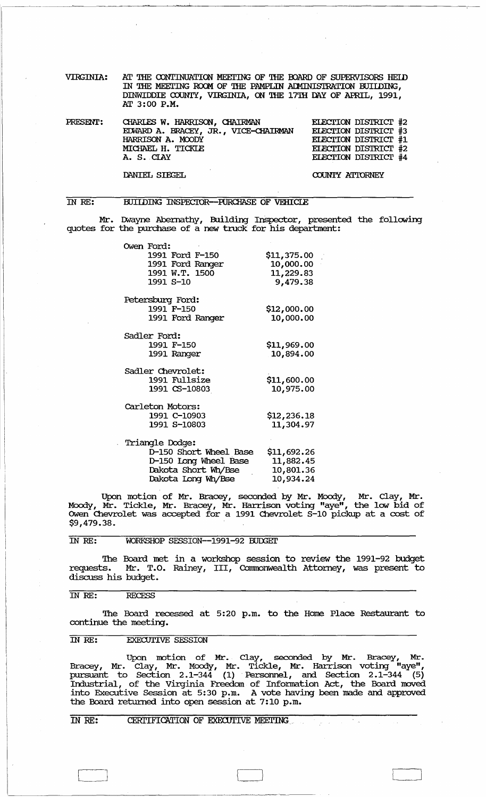| <b>VIRGINIA:</b> | AT THE CONTINUATION MEETING OF THE BOARD OF SUPERVISORS HEID |
|------------------|--------------------------------------------------------------|
|                  | IN THE MEETING ROOM OF THE PAMPLIN ADMINISTRATION BUILDING,  |
|                  | DINWIDDIE COUNTY, VIRGINIA, ON THE 17TH DAY OF APRIL, 1991,  |
|                  | AT 3:00 P.M.                                                 |

| PRESENT: | CHARLES W. HARRISON, CHAIRMAN        | ELECTION DISTRICT #2 |
|----------|--------------------------------------|----------------------|
|          | EDWARD A. BRACEY, JR., VICE-CHAIRMAN | ELECTION DISTRICT #3 |
|          | HARRISON A. MOODY                    | ELECTION DISTRICT #1 |
|          | MICHAEL H. TICKLE                    | ELECTION DISTRICT #2 |
|          | A. S. CIAY                           | ELECTION DISTRICT #4 |
|          |                                      |                      |

DANIEL SIEGEL

COUNTY ATTORNEY

#### IN RE: BUIIDING INSPECTOR--PURCHASE OF VEHICLE

Mr. IMayne Abernathy, Building Inspector, presented the following quotes for the purchase of a new truck for his department:

| Owen Ford:             |             |
|------------------------|-------------|
| 1991 Ford F-150        | \$11,375.00 |
| 1991 Ford Ranger       | 10,000.00   |
| 1991 W.T. 1500         | 11,229.83   |
| 1991 S-10              | 9,479.38    |
| Petersburg Ford:       |             |
| 1991 F-150             | \$12,000.00 |
| 1991 Ford Ranger       | 10,000.00   |
| Sadler Ford:           |             |
| 1991 F-150             | \$11,969.00 |
| 1991 Ranger            | 10,894.00   |
| Sadler Chevrolet:      |             |
| 1991 Fullsize          | \$11,600.00 |
| 1991 CS-10803          | 10,975.00   |
| Carleton Motors:       |             |
| 1991 C-10903           | \$12,236.18 |
| 1991 S-10803           | 11,304.97   |
| Triangle Dodge:        |             |
| D-150 Short Wheel Base | \$11,692.26 |
| D-150 Long Wheel Base  | 11,882.45   |
| Dakota Short Wh/Bse    | 10,801.36   |
| Dakota Long Wh/Bse     | 10,934.24   |

Upon motion of Mr. Bracey, seconded by Mr. Moody, Mr. Clay, Mr. Moody, Mr. Tickle, Mr. Bracey, Mr. Harrison voting "aye", the low bid of Owen Chevrolet was accepted for a 1991 Chevrolet S-10 pickup at a cost of \$9,479.38.

### IN RE: WORKSHOP SESSION--1991-92 BUDGET

The Board met in a workshop session to review the 1991-92 budget requests. Mr. T.O. Rainey, III, Commonwealth Attorney, was present to requests. Mr. T.C<br>discuss his budget.

### IN RE: RECESS

The Board recessed at 5:20 p.m. to the Home Place Restaurant to continue the meeting.

### IN RE: EXECUTIVE SESSION

Upon motion of Mr. Clay, seconded by Mr. Bracey, Mr. Bracey, Mr. Clay, Mr. Moody, Mr. Tickle, Mr. Harrison voting "aye" , pursuant to Section 2.1–344 (1) Personnel, and Section 2.1–344 (5) Industrial, of the Virginia Freedom of Infonnation Act, the Board moved into Executive Session at 5:30 p.m. A vote having been made and approved the Board returned into open session at 7:10 p.m.

# IN RE: CERTIFICATION OF EXECUTIVE MEETING